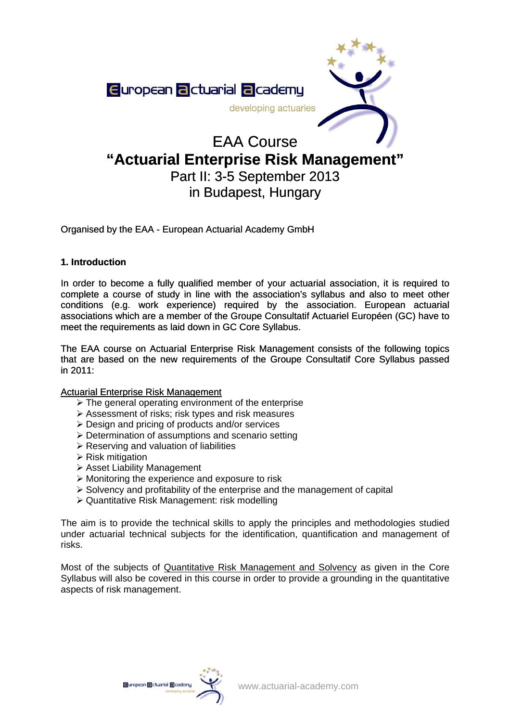

# **"Actuarial Enterprise Risk Management"**

# Part II: 3-5 September 2013 in Budapest, Hungary

Organised by the EAA - European Actuarial Academy GmbH

#### **1. Introduction**

In order to become a fully qualified member of your actuarial association, it is required to complete a course of study in line with the association's syllabus and also to meet other conditions (e.g. work experience) required by the association. European actuarial associations which are a member of the Groupe Consultatif Actuariel Européen (GC) have to meet the requirements as laid down in GC Core Syllabus. complete a course of study in line with the association's syllabus and also to meet other conditions (e.g. work experience) required by the association. European actuarial associations which are a member of the Groupe Cons

that are based on the new requirements of the Groupe Consultatif Core Syllabus passed in 2011:

#### Actuarial Enterprise Risk Management

- $\triangleright$  The general operating environment of the enterprise
- ¾ Assessment of risks; risk types and risk measures
- $\triangleright$  Design and pricing of products and/or services
- ¾ Determination of assumptions and scenario setting
- $\triangleright$  Reserving and valuation of liabilities
- $\triangleright$  Risk mitigation
- ¾ Asset Liability Management
- $\triangleright$  Monitoring the experience and exposure to risk
- $\triangleright$  Solvency and profitability of the enterprise and the management of capital
- ¾ Quantitative Risk Management: risk modelling

The aim is to provide the technical skills to apply the principles and methodologies studied under actuarial technical subjects for the identification, quantification and management of risks.

Most of the subjects of Quantitative Risk Management and Solvency as given in the Core Syllabus will also be covered in this course in order to provide a grounding in the quantitative aspects of risk management.

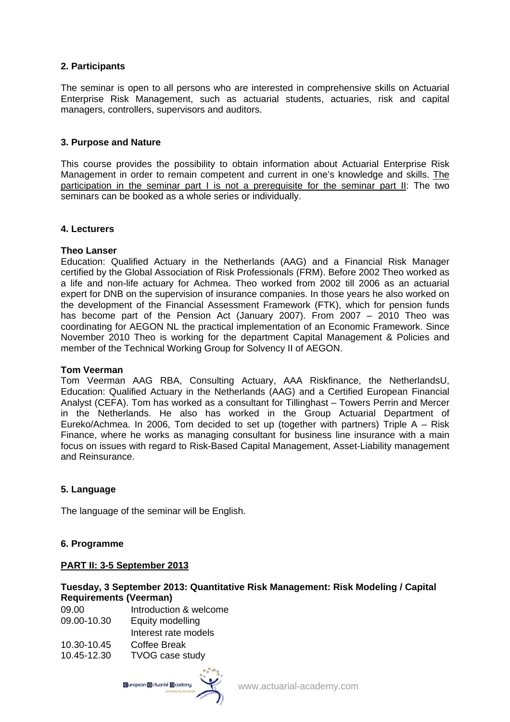# **2. Participants**

The seminar is open to all persons who are interested in comprehensive skills on Actuarial Enterprise Risk Management, such as actuarial students, actuaries, risk and capital managers, controllers, supervisors and auditors.

#### **3. Purpose and Nature**

This course provides the possibility to obtain information about Actuarial Enterprise Risk Management in order to remain competent and current in one's knowledge and skills. The participation in the seminar part I is not a prerequisite for the seminar part II: The two seminars can be booked as a whole series or individually.

#### **4. Lecturers**

#### **Theo Lanser**

Education: Qualified Actuary in the Netherlands (AAG) and a Financial Risk Manager certified by the Global Association of Risk Professionals (FRM). Before 2002 Theo worked as a life and non-life actuary for Achmea. Theo worked from 2002 till 2006 as an actuarial expert for DNB on the supervision of insurance companies. In those years he also worked on the development of the Financial Assessment Framework (FTK), which for pension funds has become part of the Pension Act (January 2007). From 2007 – 2010 Theo was coordinating for AEGON NL the practical implementation of an Economic Framework. Since November 2010 Theo is working for the department Capital Management & Policies and member of the Technical Working Group for Solvency II of AEGON.

#### **Tom Veerman**

Tom Veerman AAG RBA, Consulting Actuary, AAA Riskfinance, the NetherlandsU, Education: Qualified Actuary in the Netherlands (AAG) and a Certified European Financial Analyst (CEFA). Tom has worked as a consultant for Tillinghast – Towers Perrin and Mercer in the Netherlands. He also has worked in the Group Actuarial Department of Eureko/Achmea. In 2006, Tom decided to set up (together with partners) Triple A – Risk Finance, where he works as managing consultant for business line insurance with a main focus on issues with regard to Risk-Based Capital Management, Asset-Liability management and Reinsurance.

#### **5. Language**

The language of the seminar will be English.

#### **6. Programme**

## **PART II: 3-5 September 2013**

#### **Tuesday, 3 September 2013: Quantitative Risk Management: Risk Modeling / Capital Requirements (Veerman)**

| 09.00       | Introduction & welcome |
|-------------|------------------------|
| 09.00-10.30 | Equity modelling       |
|             | Interest rate models   |
| 10.30-10.45 | <b>Coffee Break</b>    |
| 10.45-12.30 | <b>TVOG case study</b> |

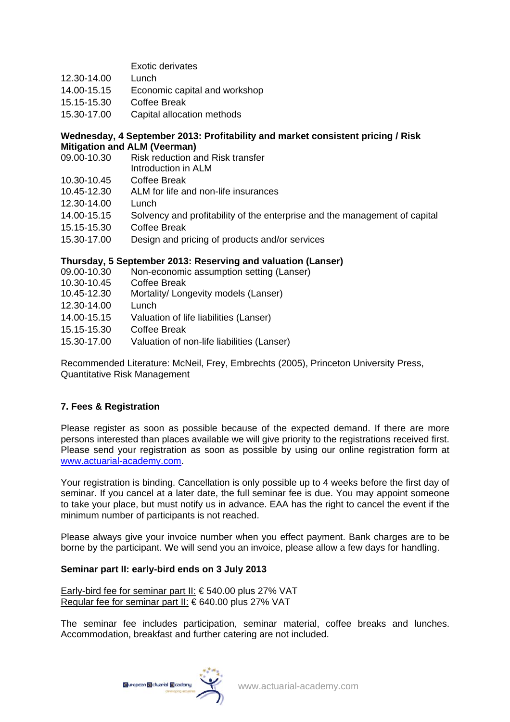# Exotic derivates

- 12.30-14.00 Lunch
- 14.00-15.15 Economic capital and workshop
- 15.15-15.30 Coffee Break
- 15.30-17.00 Capital allocation methods

#### **Wednesday, 4 September 2013: Profitability and market consistent pricing / Risk Mitigation and ALM (Veerman)**

- 09.00-10.30 Risk reduction and Risk transfer Introduction in ALM
- 10.30-10.45 Coffee Break
- 10.45-12.30 ALM for life and non-life insurances
- 12.30-14.00 Lunch
- 14.00-15.15 Solvency and profitability of the enterprise and the management of capital
- 15.15-15.30 Coffee Break
- 15.30-17.00 Design and pricing of products and/or services

# **Thursday, 5 September 2013: Reserving and valuation (Lanser)**

- 09.00-10.30 Non-economic assumption setting (Lanser)
- 10.30-10.45 Coffee Break
- 10.45-12.30 Mortality/ Longevity models (Lanser)
- 12.30-14.00 Lunch
- 14.00-15.15 Valuation of life liabilities (Lanser)
- 15.15-15.30 Coffee Break
- 15.30-17.00 Valuation of non-life liabilities (Lanser)

Recommended Literature: McNeil, Frey, Embrechts (2005), Princeton University Press, Quantitative Risk Management

# **7. Fees & Registration**

Please register as soon as possible because of the expected demand. If there are more persons interested than places available we will give priority to the registrations received first. Please send your registration as soon as possible by using our online registration form at [www.actuarial-academy.com](http://www.actuarial-academy.com/).

Your registration is binding. Cancellation is only possible up to 4 weeks before the first day of seminar. If you cancel at a later date, the full seminar fee is due. You may appoint someone to take your place, but must notify us in advance. EAA has the right to cancel the event if the minimum number of participants is not reached.

Please always give your invoice number when you effect payment. Bank charges are to be borne by the participant. We will send you an invoice, please allow a few days for handling.

#### **Seminar part II: early-bird ends on 3 July 2013**

Early-bird fee for seminar part II: € 540.00 plus 27% VAT Regular fee for seminar part II: € 640.00 plus 27% VAT

The seminar fee includes participation, seminar material, coffee breaks and lunches. Accommodation, breakfast and further catering are not included.